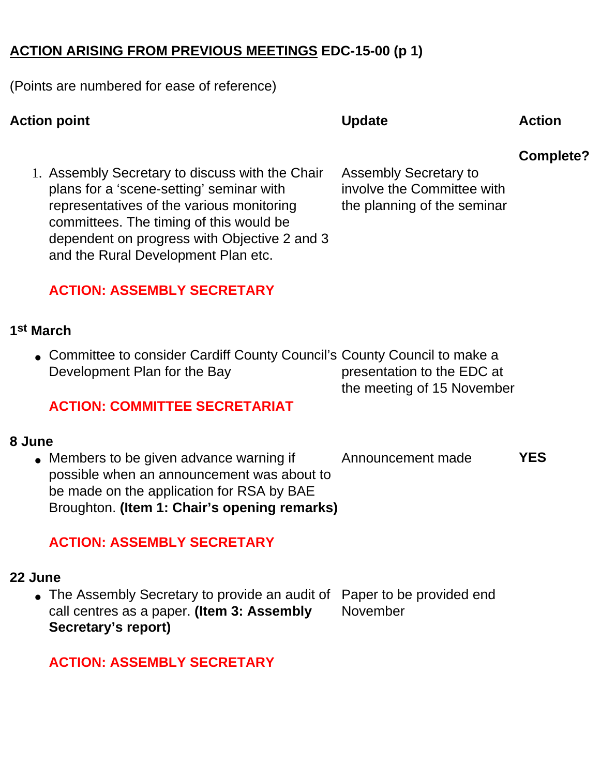### **ACTION ARISING FROM PREVIOUS MEETINGS EDC-15-00 (p 1)**

(Points are numbered for ease of reference)

# Action point **CONSULS Action CONSULS** Action **CONSULS** Action **Complete?** 1. Assembly Secretary to discuss with the Chair plans for a 'scene-setting' seminar with representatives of the various monitoring committees. The timing of this would be dependent on progress with Objective 2 and 3 and the Rural Development Plan etc. **ACTION: ASSEMBLY SECRETARY** Assembly Secretary to involve the Committee with the planning of the seminar **1st March** ● Committee to consider Cardiff County Council's County Council to make a Development Plan for the Bay **ACTION: COMMITTEE SECRETARIAT** presentation to the EDC at the meeting of 15 November **8 June** • Members to be given advance warning if possible when an announcement was about to be made on the application for RSA by BAE Broughton. **(Item 1: Chair's opening remarks) ACTION: ASSEMBLY SECRETARY** Announcement made **YES 22 June**

• The Assembly Secretary to provide an audit of call centres as a paper. **(Item 3: Assembly Secretary's report)** Paper to be provided end November

**ACTION: ASSEMBLY SECRETARY**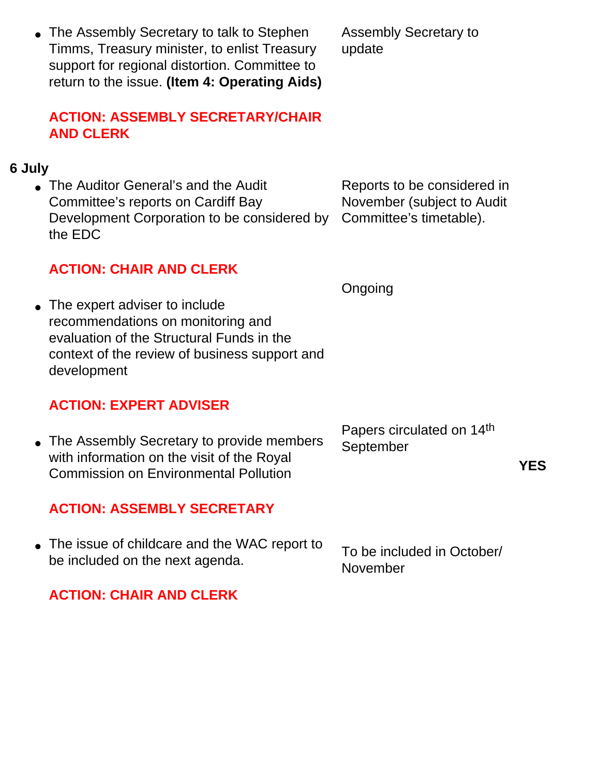• The Assembly Secretary to talk to Stephen Timms, Treasury minister, to enlist Treasury support for regional distortion. Committee to return to the issue. **(Item 4: Operating Aids)**

# **ACTION: ASSEMBLY SECRETARY/CHAIR AND CLERK**

# **6 July**

• The Auditor General's and the Audit Committee's reports on Cardiff Bay Development Corporation to be considered by the EDC

# **ACTION: CHAIR AND CLERK**

Ongoing

• The expert adviser to include recommendations on monitoring and evaluation of the Structural Funds in the context of the review of business support and development

# **ACTION: EXPERT ADVISER**

• The Assembly Secretary to provide members with information on the visit of the Royal Commission on Environmental Pollution

# **ACTION: ASSEMBLY SECRETARY**

• The issue of childcare and the WAC report to be included on the next agenda. To be included in October/ November

# **ACTION: CHAIR AND CLERK**

Assembly Secretary to update

Reports to be considered in November (subject to Audit Committee's timetable).

Papers circulated on 14th September

**YES**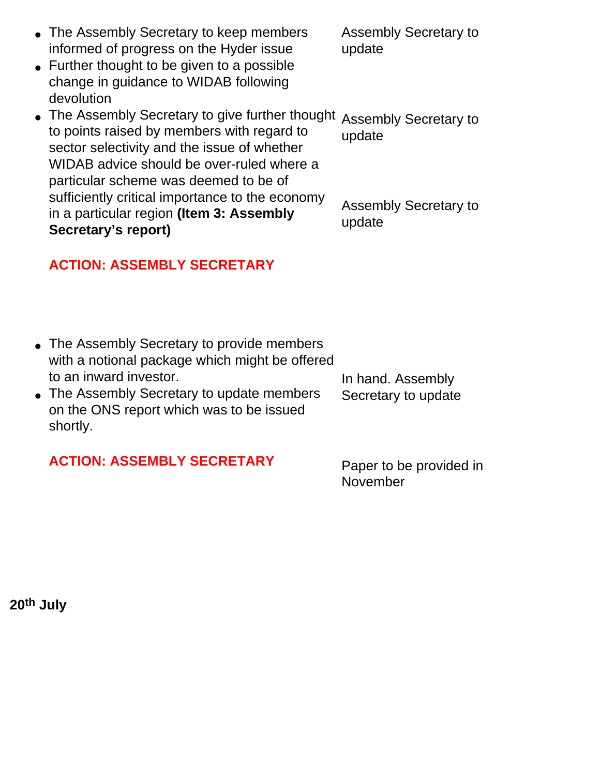| informed of progress on the Hyder issue<br>$\bullet$ Further thought to be given to a possible                                                                                                                                      | update                                 |
|-------------------------------------------------------------------------------------------------------------------------------------------------------------------------------------------------------------------------------------|----------------------------------------|
| change in guidance to WIDAB following<br>devolution                                                                                                                                                                                 |                                        |
| • The Assembly Secretary to give further thought<br>to points raised by members with regard to<br>sector selectivity and the issue of whether<br>WIDAB advice should be over-ruled where a<br>particular scheme was deemed to be of | <b>Assembly Secretary to</b><br>update |
| sufficiently critical importance to the economy<br>in a particular region (Item 3: Assembly<br>Secretary's report)                                                                                                                  | <b>Assembly Secretary to</b><br>update |

#### **ACTION: ASSEMBLY SECRETARY**

• The Assembly Secretary to keep members

Assembly Secretary to

- The Assembly Secretary to provide members with a notional package which might be offered to an inward investor. • The Assembly Secretary to update members In hand. Assembly Secretary to update
- on the ONS report which was to be issued shortly.

**ACTION: ASSEMBLY SECRETARY** Paper to be provided in November

**20th July**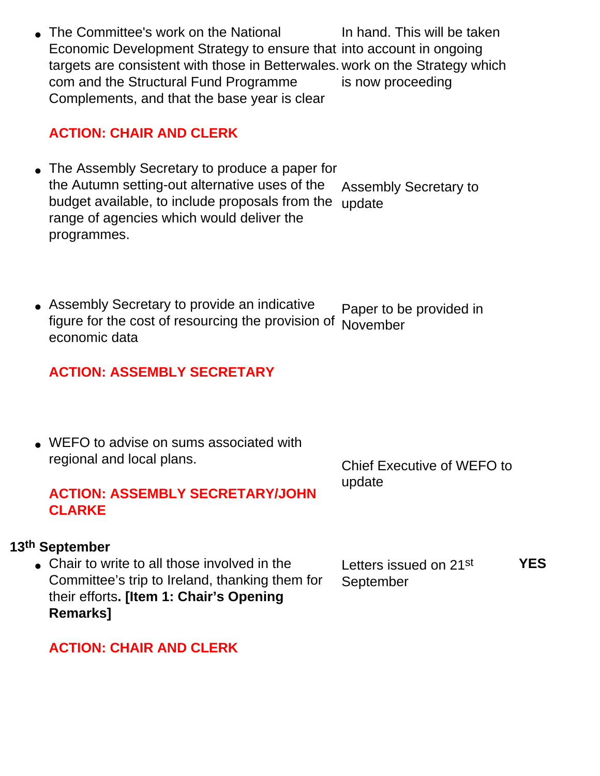• The Committee's work on the National Economic Development Strategy to ensure that into account in ongoing targets are consistent with those in Betterwales. work on the Strategy which com and the Structural Fund Programme Complements, and that the base year is clear In hand. This will be taken is now proceeding

### **ACTION: CHAIR AND CLERK**

- The Assembly Secretary to produce a paper for the Autumn setting-out alternative uses of the budget available, to include proposals from the range of agencies which would deliver the programmes. Assembly Secretary to update
- Assembly Secretary to provide an indicative figure for the cost of resourcing the provision of economic data Paper to be provided in November

# **ACTION: ASSEMBLY SECRETARY**

• WEFO to advise on sums associated with regional and local plans.

Chief Executive of WEFO to update

### **ACTION: ASSEMBLY SECRETARY/JOHN CLARKE**

#### **13th September**

• Chair to write to all those involved in the Committee's trip to Ireland, thanking them for their efforts**. [Item 1: Chair's Opening Remarks]**

Letters issued on 21st September **YES**

#### **ACTION: CHAIR AND CLERK**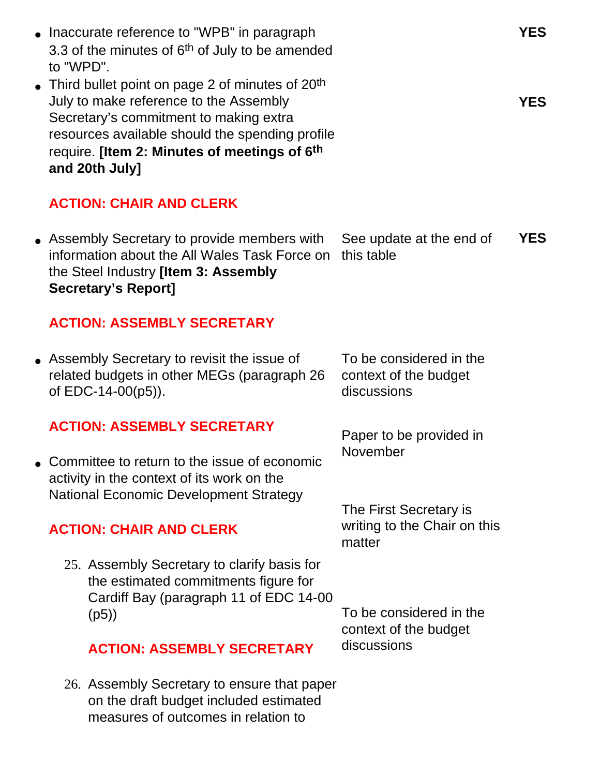- Inaccurate reference to "WPB" in paragraph 3.3 of the minutes of  $6<sup>th</sup>$  of July to be amended to "WPD".
- Third bullet point on page 2 of minutes of  $20<sup>th</sup>$ July to make reference to the Assembly Secretary's commitment to making extra resources available should the spending profile require. **[Item 2: Minutes of meetings of 6th and 20th July]**

# **ACTION: CHAIR AND CLERK**

• Assembly Secretary to provide members with information about the All Wales Task Force on this table the Steel Industry **[Item 3: Assembly Secretary's Report]** See update at the end of **YES**

# **ACTION: ASSEMBLY SECRETARY**

• Assembly Secretary to revisit the issue of related budgets in other MEGs (paragraph 26 of EDC-14-00(p5)).

#### **ACTION: ASSEMBLY SECRETARY**

• Committee to return to the issue of economic activity in the context of its work on the National Economic Development Strategy

# **ACTION: CHAIR AND CLERK**

25. Assembly Secretary to clarify basis for the estimated commitments figure for Cardiff Bay (paragraph 11 of EDC 14-00 (p5))

#### **ACTION: ASSEMBLY SECRETARY**

26. Assembly Secretary to ensure that paper on the draft budget included estimated measures of outcomes in relation to

To be considered in the context of the budget discussions

Paper to be provided in November

The First Secretary is writing to the Chair on this matter

To be considered in the context of the budget discussions

**YES**

**YES**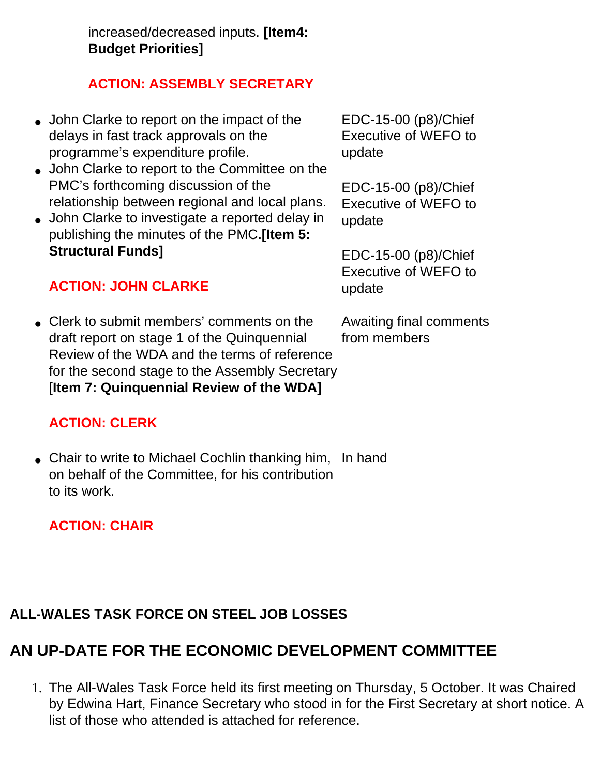increased/decreased inputs. **[Item4: Budget Priorities]**

# **ACTION: ASSEMBLY SECRETARY**

- John Clarke to report on the impact of the delays in fast track approvals on the programme's expenditure profile.
- John Clarke to report to the Committee on the PMC's forthcoming discussion of the relationship between regional and local plans.
- John Clarke to investigate a reported delay in publishing the minutes of the PMC**.[Item 5: Structural Funds]**

# **ACTION: JOHN CLARKE**

• Clerk to submit members' comments on the draft report on stage 1 of the Quinquennial Review of the WDA and the terms of reference for the second stage to the Assembly Secretary [**Item 7: Quinquennial Review of the WDA]**

# **ACTION: CLERK**

● Chair to write to Michael Cochlin thanking him, In hand on behalf of the Committee, for his contribution to its work.

# **ACTION: CHAIR**

# **ALL-WALES TASK FORCE ON STEEL JOB LOSSES**

# **AN UP-DATE FOR THE ECONOMIC DEVELOPMENT COMMITTEE**

1. The All-Wales Task Force held its first meeting on Thursday, 5 October. It was Chaired by Edwina Hart, Finance Secretary who stood in for the First Secretary at short notice. A list of those who attended is attached for reference.

EDC-15-00 (p8)/Chief Executive of WEFO to update

EDC-15-00 (p8)/Chief Executive of WEFO to update

EDC-15-00 (p8)/Chief Executive of WEFO to update

Awaiting final comments from members